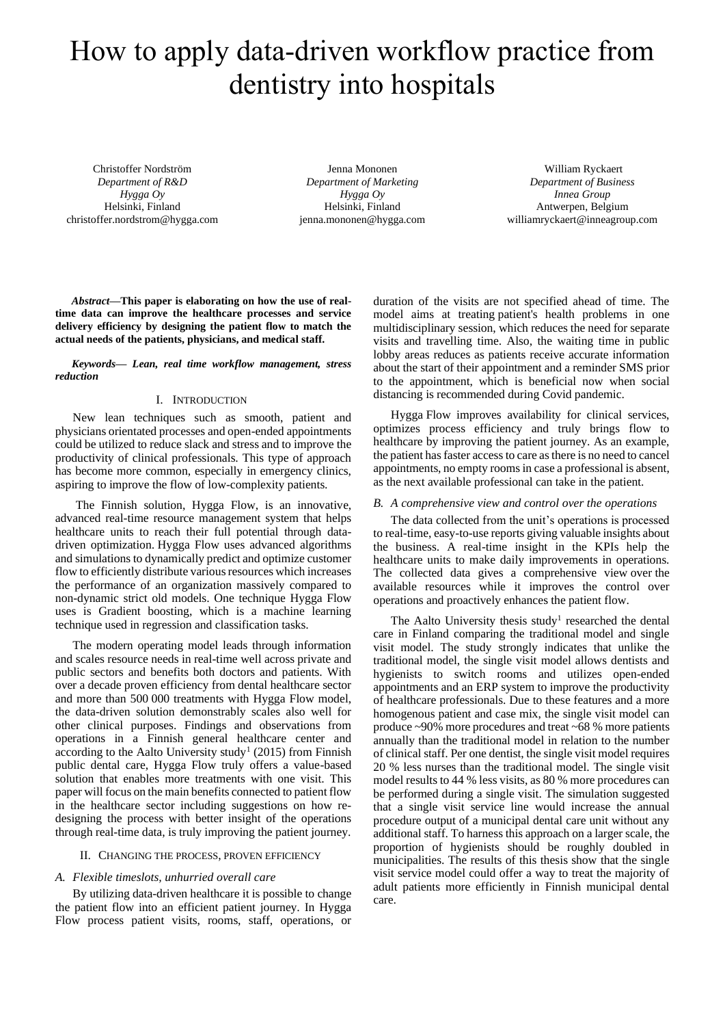# How to apply data-driven workflow practice from dentistry into hospitals

Christoffer Nordström *Department of R&D Hygga Oy* Helsinki, Finland christoffer.nordstrom@hygga.com

Jenna Mononen *Department of Marketing Hygga Oy* Helsinki, Finland jenna.mononen@hygga.com

William Ryckaert *Department of Business Innea Group* Antwerpen, Belgium williamryckaert@inneagroup.com

*Abstract***—This paper is elaborating on how the use of realtime data can improve the healthcare processes and service delivery efficiency by designing the patient flow to match the actual needs of the patients, physicians, and medical staff.** 

*Keywords— Lean, real time workflow management, stress reduction* 

## I. INTRODUCTION

New lean techniques such as smooth, patient and physicians orientated processes and open-ended appointments could be utilized to reduce slack and stress and to improve the productivity of clinical professionals. This type of approach has become more common, especially in emergency clinics, aspiring to improve the flow of low-complexity patients.

The Finnish solution, Hygga Flow, is an innovative, advanced real-time resource management system that helps healthcare units to reach their full potential through datadriven optimization. Hygga Flow uses advanced algorithms and simulations to dynamically predict and optimize customer flow to efficiently distribute various resources which increases the performance of an organization massively compared to non-dynamic strict old models. One technique Hygga Flow uses is Gradient boosting, which is a machine learning technique used in regression and classification tasks.

The modern operating model leads through information and scales resource needs in real-time well across private and public sectors and benefits both doctors and patients. With over a decade proven efficiency from dental healthcare sector and more than 500 000 treatments with Hygga Flow model, the data-driven solution demonstrably scales also well for other clinical purposes. Findings and observations from operations in a Finnish general healthcare center and according to the Aalto University study<sup>1</sup> (2015) from Finnish public dental care, Hygga Flow truly offers a value-based solution that enables more treatments with one visit. This paper will focus on the main benefits connected to patient flow in the healthcare sector including suggestions on how redesigning the process with better insight of the operations through real-time data, is truly improving the patient journey.

### II. CHANGING THE PROCESS, PROVEN EFFICIENCY

### *A. Flexible timeslots, unhurried overall care*

By utilizing data-driven healthcare it is possible to change the patient flow into an efficient patient journey. In Hygga Flow process patient visits, rooms, staff, operations, or duration of the visits are not specified ahead of time. The model aims at treating patient's health problems in one multidisciplinary session, which reduces the need for separate visits and travelling time. Also, the waiting time in public lobby areas reduces as patients receive accurate information about the start of their appointment and a reminder SMS prior to the appointment, which is beneficial now when social distancing is recommended during Covid pandemic.

Hygga Flow improves availability for clinical services, optimizes process efficiency and truly brings flow to healthcare by improving the patient journey. As an example, the patient has faster access to care as there is no need to cancel appointments, no empty rooms in case a professional is absent, as the next available professional can take in the patient.

# *B. A comprehensive view and control over the operations*

The data collected from the unit's operations is processed to real-time, easy-to-use reports giving valuable insights about the business. A real-time insight in the KPIs help the healthcare units to make daily improvements in operations. The collected data gives a comprehensive view over the available resources while it improves the control over operations and proactively enhances the patient flow.

The Aalto University thesis study<sup>1</sup> researched the dental care in Finland comparing the traditional model and single visit model. The study strongly indicates that unlike the traditional model, the single visit model allows dentists and hygienists to switch rooms and utilizes open-ended appointments and an ERP system to improve the productivity of healthcare professionals. Due to these features and a more homogenous patient and case mix, the single visit model can produce ~90% more procedures and treat ~68 % more patients annually than the traditional model in relation to the number of clinical staff. Per one dentist, the single visit model requires 20 % less nurses than the traditional model. The single visit model results to 44 % less visits, as 80 % more procedures can be performed during a single visit. The simulation suggested that a single visit service line would increase the annual procedure output of a municipal dental care unit without any additional staff. To harness this approach on a larger scale, the proportion of hygienists should be roughly doubled in municipalities. The results of this thesis show that the single visit service model could offer a way to treat the majority of adult patients more efficiently in Finnish municipal dental care.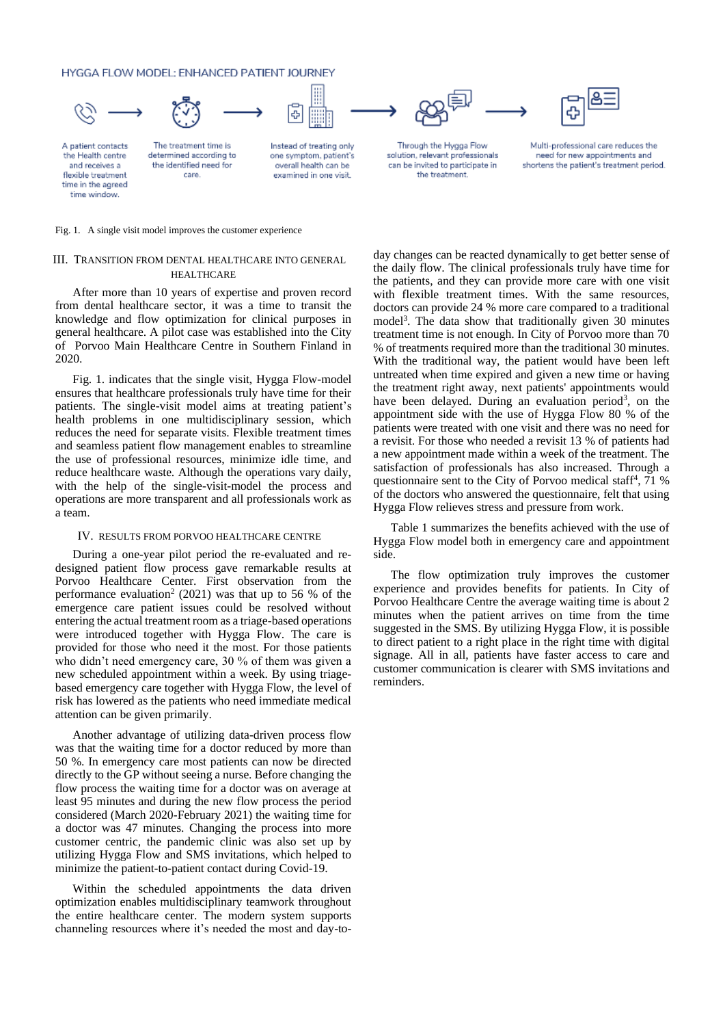HYGGA FLOW MODEL: ENHANCED PATIENT JOURNEY



A patient contacts the Health centre and receives a flexible treatment time in the agreed time window.

The treatment time is determined according to the identified need for

care.

Instead of treating only one symptom, patient's overall health can be examined in one visit.





Through the Hygga Flow solution, relevant professionals can be invited to participate in the treatment.

Multi-professional care reduces the need for new appointments and shortens the patient's treatment period.

Fig. 1. A single visit model improves the customer experience

# III. TRANSITION FROM DENTAL HEALTHCARE INTO GENERAL HEALTHCARE

After more than 10 years of expertise and proven record from dental healthcare sector, it was a time to transit the knowledge and flow optimization for clinical purposes in general healthcare. A pilot case was established into the City of Porvoo Main Healthcare Centre in Southern Finland in 2020.

Fig. 1. indicates that the single visit, Hygga Flow-model ensures that healthcare professionals truly have time for their patients. The single-visit model aims at treating patient's health problems in one multidisciplinary session, which reduces the need for separate visits. Flexible treatment times and seamless patient flow management enables to streamline the use of professional resources, minimize idle time, and reduce healthcare waste. Although the operations vary daily, with the help of the single-visit-model the process and operations are more transparent and all professionals work as a team.

#### IV. RESULTS FROM PORVOO HEALTHCARE CENTRE

During a one-year pilot period the re-evaluated and redesigned patient flow process gave remarkable results at Porvoo Healthcare Center. First observation from the performance evaluation<sup>2</sup> (2021) was that up to 56 % of the emergence care patient issues could be resolved without entering the actual treatment room as a triage-based operations were introduced together with Hygga Flow. The care is provided for those who need it the most. For those patients who didn't need emergency care, 30 % of them was given a new scheduled appointment within a week. By using triagebased emergency care together with Hygga Flow, the level of risk has lowered as the patients who need immediate medical attention can be given primarily.

Another advantage of utilizing data-driven process flow was that the waiting time for a doctor reduced by more than 50 %. In emergency care most patients can now be directed directly to the GP without seeing a nurse. Before changing the flow process the waiting time for a doctor was on average at least 95 minutes and during the new flow process the period considered (March 2020-February 2021) the waiting time for a doctor was 47 minutes. Changing the process into more customer centric, the pandemic clinic was also set up by utilizing Hygga Flow and SMS invitations, which helped to minimize the patient-to-patient contact during Covid-19.

Within the scheduled appointments the data driven optimization enables multidisciplinary teamwork throughout the entire healthcare center. The modern system supports channeling resources where it's needed the most and day-today changes can be reacted dynamically to get better sense of the daily flow. The clinical professionals truly have time for the patients, and they can provide more care with one visit with flexible treatment times. With the same resources, doctors can provide 24 % more care compared to a traditional model<sup>3</sup>. The data show that traditionally given 30 minutes treatment time is not enough. In City of Porvoo more than 70 % of treatments required more than the traditional 30 minutes. With the traditional way, the patient would have been left untreated when time expired and given a new time or having the treatment right away, next patients' appointments would have been delayed. During an evaluation period<sup>3</sup>, on the appointment side with the use of Hygga Flow 80 % of the patients were treated with one visit and there was no need for a revisit. For those who needed a revisit 13 % of patients had a new appointment made within a week of the treatment. The satisfaction of professionals has also increased. Through a questionnaire sent to the City of Porvoo medical staff<sup>4</sup>, 71 % of the doctors who answered the questionnaire, felt that using Hygga Flow relieves stress and pressure from work.

Table 1 summarizes the benefits achieved with the use of Hygga Flow model both in emergency care and appointment side.

The flow optimization truly improves the customer experience and provides benefits for patients. In City of Porvoo Healthcare Centre the average waiting time is about 2 minutes when the patient arrives on time from the time suggested in the SMS. By utilizing Hygga Flow, it is possible to direct patient to a right place in the right time with digital signage. All in all, patients have faster access to care and customer communication is clearer with SMS invitations and reminders.